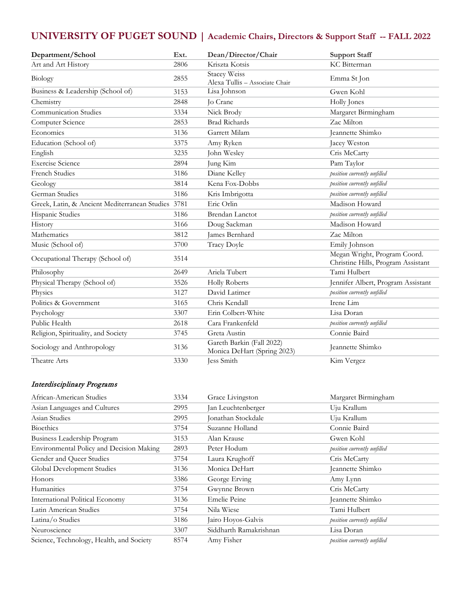## **UNIVERSITY OF PUGET SOUND | Academic Chairs, Directors & Support Staff -- FALL 2022**

| Department/School                                  | Ext. | Dean/Director/Chair                                      | <b>Support Staff</b>                                               |
|----------------------------------------------------|------|----------------------------------------------------------|--------------------------------------------------------------------|
| Art and Art History                                | 2806 | Kriszta Kotsis                                           | KC Bitterman                                                       |
| Biology                                            | 2855 | <b>Stacey Weiss</b><br>Alexa Tullis - Associate Chair    | Emma St Jon                                                        |
| Business & Leadership (School of)                  | 3153 | Lisa Johnson                                             | Gwen Kohl                                                          |
| Chemistry                                          | 2848 | <b>Jo Crane</b>                                          | Holly Jones                                                        |
| <b>Communication Studies</b>                       | 3334 | Nick Brody                                               | Margaret Birmingham                                                |
| Computer Science                                   | 2853 | <b>Brad Richards</b>                                     | Zac Milton                                                         |
| Economics                                          | 3136 | Garrett Milam                                            | Jeannette Shimko                                                   |
| Education (School of)                              | 3375 | Amy Ryken                                                | Jacey Weston                                                       |
| English                                            | 3235 | John Wesley                                              | Cris McCarty                                                       |
| <b>Exercise Science</b>                            | 2894 | Jung Kim                                                 | Pam Taylor                                                         |
| <b>French Studies</b>                              | 3186 | Diane Kelley                                             | position currently unfilled                                        |
| Geology                                            | 3814 | Kena Fox-Dobbs                                           | position currently unfilled                                        |
| German Studies                                     | 3186 | Kris Imbrigotta                                          | position currently unfilled                                        |
| Greek, Latin, & Ancient Mediterranean Studies 3781 |      | Eric Orlin                                               | Madison Howard                                                     |
| Hispanic Studies                                   | 3186 | Brendan Lanctot                                          | position currently unfilled                                        |
| History                                            | 3166 | Doug Sackman                                             | Madison Howard                                                     |
| Mathematics                                        | 3812 | James Bernhard                                           | Zac Milton                                                         |
| Music (School of)                                  | 3700 | <b>Tracy Doyle</b>                                       | Emily Johnson                                                      |
| Occupational Therapy (School of)                   | 3514 |                                                          | Megan Wright, Program Coord.<br>Christine Hills, Program Assistant |
| Philosophy                                         | 2649 | Ariela Tubert                                            | Tami Hulbert                                                       |
| Physical Therapy (School of)                       | 3526 | <b>Holly Roberts</b>                                     | Jennifer Albert, Program Assistant                                 |
| Physics                                            | 3127 | David Latimer                                            | position currently unfilled                                        |
| Politics & Government                              | 3165 | Chris Kendall                                            | Irene Lim                                                          |
| Psychology                                         | 3307 | Erin Colbert-White                                       | Lisa Doran                                                         |
| Public Health                                      | 2618 | Cara Frankenfeld                                         | position currently unfilled                                        |
| Religion, Spirituality, and Society                | 3745 | Greta Austin                                             | Connie Baird                                                       |
| Sociology and Anthropology                         | 3136 | Gareth Barkin (Fall 2022)<br>Monica DeHart (Spring 2023) | Jeannette Shimko                                                   |
| Theatre Arts                                       | 3330 | Jess Smith                                               | Kim Vergez                                                         |

## Interdisciplinary Programs

| African-American Studies                 | 3334 | Grace Livingston       | Margaret Birmingham         |
|------------------------------------------|------|------------------------|-----------------------------|
| Asian Languages and Cultures             | 2995 | Jan Leuchtenberger     | Uju Krallum                 |
| Asian Studies                            | 2995 | Jonathan Stockdale     | Uju Krallum                 |
| <b>Bioethics</b>                         | 3754 | Suzanne Holland        | Connie Baird                |
| Business Leadership Program              | 3153 | Alan Krause            | Gwen Kohl                   |
| Environmental Policy and Decision Making | 2893 | Peter Hodum            | position currently unfilled |
| Gender and Queer Studies                 | 3754 | Laura Krughoff         | Cris McCarty                |
| Global Development Studies               | 3136 | Monica DeHart          | Jeannette Shimko            |
| Honors                                   | 3386 | George Erving          | Amy Lynn                    |
| Humanities                               | 3754 | Gwynne Brown           | Cris McCarty                |
| International Political Economy          | 3136 | Emelie Peine           | Jeannette Shimko            |
| Latin American Studies                   | 3754 | Nila Wiese             | Tami Hulbert                |
| Latina/o Studies                         | 3186 | Jairo Hoyos-Galvis     | position currently unfilled |
| Neuroscience                             | 3307 | Siddharth Ramakrishnan | Lisa Doran                  |
| Science, Technology, Health, and Society | 8574 | Amy Fisher             | position currently unfilled |